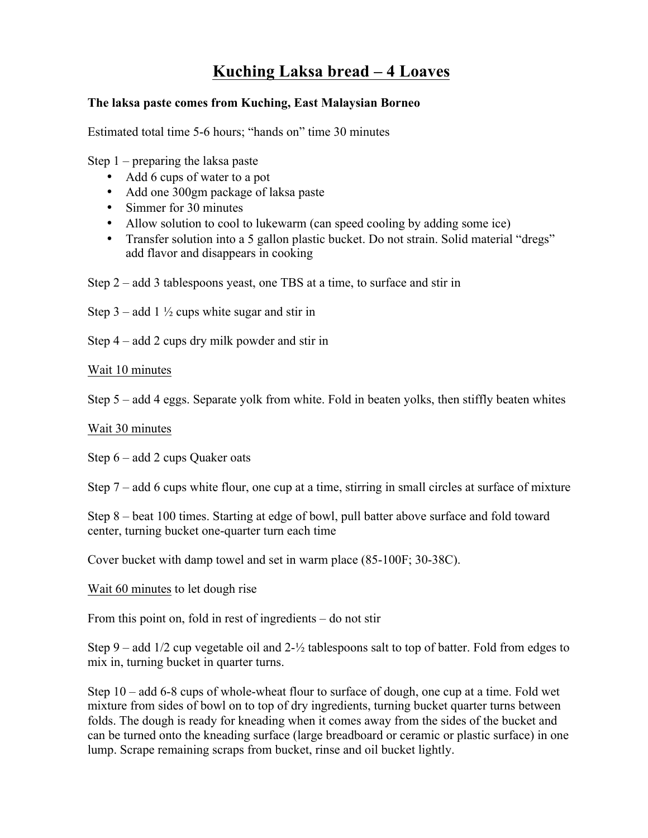## **Kuching Laksa bread – 4 Loaves**

## **The laksa paste comes from Kuching, East Malaysian Borneo**

Estimated total time 5-6 hours; "hands on" time 30 minutes

Step 1 – preparing the laksa paste

- Add 6 cups of water to a pot
- Add one 300gm package of laksa paste
- Simmer for 30 minutes
- Allow solution to cool to lukewarm (can speed cooling by adding some ice)
- Transfer solution into a 5 gallon plastic bucket. Do not strain. Solid material "dregs" add flavor and disappears in cooking
- Step 2 add 3 tablespoons yeast, one TBS at a time, to surface and stir in

Step 3 – add 1  $\frac{1}{2}$  cups white sugar and stir in

Step 4 – add 2 cups dry milk powder and stir in

Wait 10 minutes

Step 5 – add 4 eggs. Separate yolk from white. Fold in beaten yolks, then stiffly beaten whites

## Wait 30 minutes

Step 6 – add 2 cups Quaker oats

Step 7 – add 6 cups white flour, one cup at a time, stirring in small circles at surface of mixture

Step 8 – beat 100 times. Starting at edge of bowl, pull batter above surface and fold toward center, turning bucket one-quarter turn each time

Cover bucket with damp towel and set in warm place (85-100F; 30-38C).

Wait 60 minutes to let dough rise

From this point on, fold in rest of ingredients – do not stir

Step 9 – add  $1/2$  cup vegetable oil and  $2-\frac{1}{2}$  tablespoons salt to top of batter. Fold from edges to mix in, turning bucket in quarter turns.

Step 10 – add 6-8 cups of whole-wheat flour to surface of dough, one cup at a time. Fold wet mixture from sides of bowl on to top of dry ingredients, turning bucket quarter turns between folds. The dough is ready for kneading when it comes away from the sides of the bucket and can be turned onto the kneading surface (large breadboard or ceramic or plastic surface) in one lump. Scrape remaining scraps from bucket, rinse and oil bucket lightly.